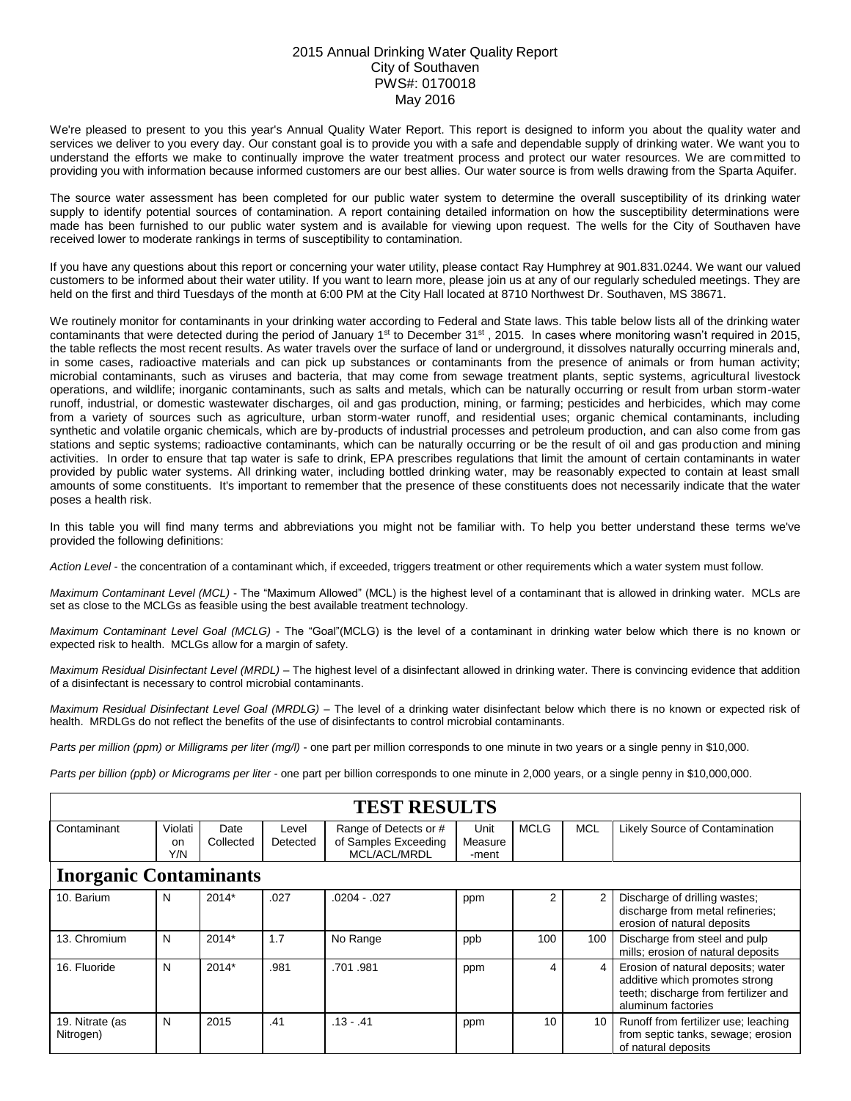## 2015 Annual Drinking Water Quality Report City of Southaven PWS#: 0170018 May 2016

We're pleased to present to you this year's Annual Quality Water Report. This report is designed to inform you about the quality water and services we deliver to you every day. Our constant goal is to provide you with a safe and dependable supply of drinking water. We want you to understand the efforts we make to continually improve the water treatment process and protect our water resources. We are committed to providing you with information because informed customers are our best allies. Our water source is from wells drawing from the Sparta Aquifer.

The source water assessment has been completed for our public water system to determine the overall susceptibility of its drinking water supply to identify potential sources of contamination. A report containing detailed information on how the susceptibility determinations were made has been furnished to our public water system and is available for viewing upon request. The wells for the City of Southaven have received lower to moderate rankings in terms of susceptibility to contamination.

If you have any questions about this report or concerning your water utility, please contact Ray Humphrey at 901.831.0244. We want our valued customers to be informed about their water utility. If you want to learn more, please join us at any of our regularly scheduled meetings. They are held on the first and third Tuesdays of the month at 6:00 PM at the City Hall located at 8710 Northwest Dr. Southaven, MS 38671.

We routinely monitor for contaminants in your drinking water according to Federal and State laws. This table below lists all of the drinking water contaminants that were detected during the period of January 1<sup>st</sup> to December 31<sup>st</sup>, 2015. In cases where monitoring wasn't required in 2015, the table reflects the most recent results. As water travels over the surface of land or underground, it dissolves naturally occurring minerals and, in some cases, radioactive materials and can pick up substances or contaminants from the presence of animals or from human activity; microbial contaminants, such as viruses and bacteria, that may come from sewage treatment plants, septic systems, agricultural livestock operations, and wildlife; inorganic contaminants, such as salts and metals, which can be naturally occurring or result from urban storm-water runoff, industrial, or domestic wastewater discharges, oil and gas production, mining, or farming; pesticides and herbicides, which may come from a variety of sources such as agriculture, urban storm-water runoff, and residential uses; organic chemical contaminants, including synthetic and volatile organic chemicals, which are by-products of industrial processes and petroleum production, and can also come from gas stations and septic systems; radioactive contaminants, which can be naturally occurring or be the result of oil and gas production and mining activities. In order to ensure that tap water is safe to drink, EPA prescribes regulations that limit the amount of certain contaminants in water provided by public water systems. All drinking water, including bottled drinking water, may be reasonably expected to contain at least small amounts of some constituents. It's important to remember that the presence of these constituents does not necessarily indicate that the water poses a health risk.

In this table you will find many terms and abbreviations you might not be familiar with. To help you better understand these terms we've provided the following definitions:

*Action Level* - the concentration of a contaminant which, if exceeded, triggers treatment or other requirements which a water system must follow.

*Maximum Contaminant Level (MCL)* - The "Maximum Allowed" (MCL) is the highest level of a contaminant that is allowed in drinking water. MCLs are set as close to the MCLGs as feasible using the best available treatment technology.

*Maximum Contaminant Level Goal (MCLG)* - The "Goal"(MCLG) is the level of a contaminant in drinking water below which there is no known or expected risk to health. MCLGs allow for a margin of safety.

*Maximum Residual Disinfectant Level (MRDL)* – The highest level of a disinfectant allowed in drinking water. There is convincing evidence that addition of a disinfectant is necessary to control microbial contaminants.

*Maximum Residual Disinfectant Level Goal (MRDLG)* – The level of a drinking water disinfectant below which there is no known or expected risk of health. MRDLGs do not reflect the benefits of the use of disinfectants to control microbial contaminants.

*Parts per million (ppm) or Milligrams per liter (mg/l)* - one part per million corresponds to one minute in two years or a single penny in \$10,000.

*Parts per billion (ppb) or Micrograms per liter* - one part per billion corresponds to one minute in 2,000 years, or a single penny in \$10,000,000.

| <b>TEST RESULTS</b>           |                                 |                   |                   |                                                               |                          |             |            |                                                                                                                                    |  |  |  |
|-------------------------------|---------------------------------|-------------------|-------------------|---------------------------------------------------------------|--------------------------|-------------|------------|------------------------------------------------------------------------------------------------------------------------------------|--|--|--|
| Contaminant                   | Violati<br><sub>on</sub><br>Y/N | Date<br>Collected | Level<br>Detected | Range of Detects or #<br>of Samples Exceeding<br>MCL/ACL/MRDL | Unit<br>Measure<br>-ment | <b>MCLG</b> | <b>MCL</b> | Likely Source of Contamination                                                                                                     |  |  |  |
| <b>Inorganic Contaminants</b> |                                 |                   |                   |                                                               |                          |             |            |                                                                                                                                    |  |  |  |
| 10. Barium                    | N                               | $2014*$           | .027              | $.0204-.027$                                                  | ppm                      | 2           | 2          | Discharge of drilling wastes;<br>discharge from metal refineries;<br>erosion of natural deposits                                   |  |  |  |
| 13. Chromium                  | N                               | $2014*$           | 1.7               | No Range                                                      | ppb                      | 100         | 100        | Discharge from steel and pulp<br>mills; erosion of natural deposits                                                                |  |  |  |
| 16. Fluoride                  | N                               | 2014*             | .981              | .701.981                                                      | ppm                      | 4           | 4          | Erosion of natural deposits; water<br>additive which promotes strong<br>teeth; discharge from fertilizer and<br>aluminum factories |  |  |  |
| 19. Nitrate (as<br>Nitrogen)  | N                               | 2015              | .41               | $.13 - .41$                                                   | ppm                      | 10          | 10         | Runoff from fertilizer use; leaching<br>from septic tanks, sewage; erosion<br>of natural deposits                                  |  |  |  |